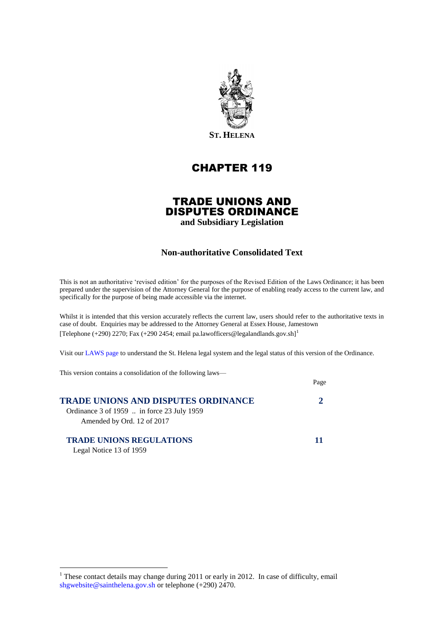

# CHAPTER 119

## TRADE UNIONS AND DISPUTES ORDINANCE

**and Subsidiary Legislation**

## **Non-authoritative Consolidated Text**

This is not an authoritative 'revised edition' for the purposes of the Revised Edition of the Laws Ordinance; it has been prepared under the supervision of the Attorney General for the purpose of enabling ready access to the current law, and specifically for the purpose of being made accessible via the internet.

Whilst it is intended that this version accurately reflects the current law, users should refer to the authoritative texts in case of doubt. Enquiries may be addressed to the Attorney General at Essex House, Jamestown [Telephone (+290) 2270; Fax (+290 2454; email pa.lawofficers@legalandlands.gov.sh]<sup>1</sup>

Visit ou[r LAWS page](http://www.sainthelena.gov.sh/pages/laws.html) to understand the St. Helena legal system and the legal status of this version of the Ordinance.

Page

This version contains a consolidation of the following laws—

| <b>TRADE UNIONS AND DISPUTES ORDINANCE</b>                                   |  |
|------------------------------------------------------------------------------|--|
| Ordinance $3$ of 1959  in force $23$ July 1959<br>Amended by Ord. 12 of 2017 |  |
| <b>TRADE UNIONS REGULATIONS</b>                                              |  |

Legal Notice 13 of 1959

<u>.</u>

<sup>&</sup>lt;sup>1</sup> These contact details may change during 2011 or early in 2012. In case of difficulty, email [shgwebsite@sainthelena.gov.sh](mailto:shgwebsite@sainthelena.gov.sh) or telephone (+290) 2470.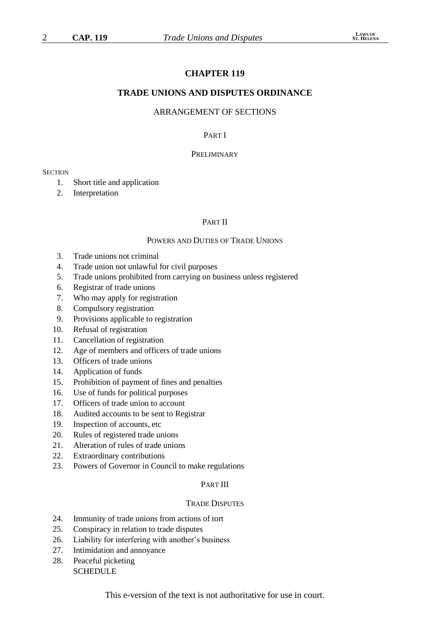## **CHAPTER 119**

#### **TRADE UNIONS AND DISPUTES ORDINANCE**

## ARRANGEMENT OF SECTIONS

## PART I

#### **PRELIMINARY**

#### **SECTION**

- 1. Short title and application
- 2. Interpretation

#### PART II

#### POWERS AND DUTIES OF TRADE UNIONS

- 3. Trade unions not criminal
- 4. Trade union not unlawful for civil purposes
- 5. Trade unions prohibited from carrying on business unless registered
- 6. Registrar of trade unions
- 7. Who may apply for registration
- 8. Compulsory registration
- 9. Provisions applicable to registration
- 10. Refusal of registration
- 11. Cancellation of registration
- 12. Age of members and officers of trade unions
- 13. Officers of trade unions
- 14. Application of funds
- 15. Prohibition of payment of fines and penalties
- 16. Use of funds for political purposes
- 17. Officers of trade union to account
- 18. Audited accounts to be sent to Registrar
- 19. Inspection of accounts, etc
- 20. Rules of registered trade unions
- 21. Alteration of rules of trade unions
- 22. Extraordinary contributions
- 23. Powers of Governor in Council to make regulations

#### PART III

#### TRADE DISPUTES

- 24. Immunity of trade unions from actions of tort
- 25. Conspiracy in relation to trade disputes
- 26. Liability for interfering with another's business
- 27. Intimidation and annoyance
- 28. Peaceful picketing **SCHEDULE**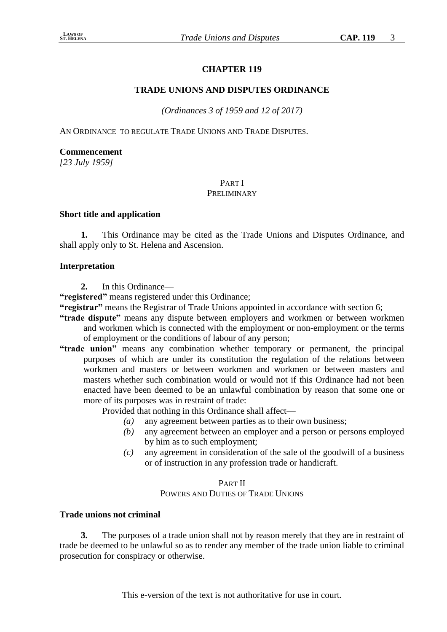# **CHAPTER 119**

# **TRADE UNIONS AND DISPUTES ORDINANCE**

*(Ordinances 3 of 1959 and 12 of 2017)*

AN ORDINANCE TO REGULATE TRADE UNIONS AND TRADE DISPUTES.

# **Commencement**

*[23 July 1959]*

# PART I

# PRELIMINARY

## **Short title and application**

**1.** This Ordinance may be cited as the Trade Unions and Disputes Ordinance, and shall apply only to St. Helena and Ascension.

# **Interpretation**

**2.** In this Ordinance—

**"registered"** means registered under this Ordinance;

**"registrar"** means the Registrar of Trade Unions appointed in accordance with section 6;

- **"trade dispute"** means any dispute between employers and workmen or between workmen and workmen which is connected with the employment or non-employment or the terms of employment or the conditions of labour of any person;
- **"trade union"** means any combination whether temporary or permanent, the principal purposes of which are under its constitution the regulation of the relations between workmen and masters or between workmen and workmen or between masters and masters whether such combination would or would not if this Ordinance had not been enacted have been deemed to be an unlawful combination by reason that some one or more of its purposes was in restraint of trade:

Provided that nothing in this Ordinance shall affect—

- *(a)* any agreement between parties as to their own business;
- *(b)* any agreement between an employer and a person or persons employed by him as to such employment;
- *(c)* any agreement in consideration of the sale of the goodwill of a business or of instruction in any profession trade or handicraft.

# PART II

# POWERS AND DUTIES OF TRADE UNIONS

## **Trade unions not criminal**

**3.** The purposes of a trade union shall not by reason merely that they are in restraint of trade be deemed to be unlawful so as to render any member of the trade union liable to criminal prosecution for conspiracy or otherwise.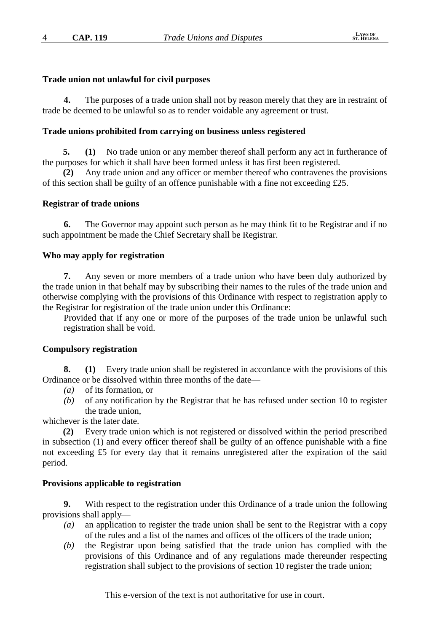## **Trade union not unlawful for civil purposes**

**4.** The purposes of a trade union shall not by reason merely that they are in restraint of trade be deemed to be unlawful so as to render voidable any agreement or trust.

#### **Trade unions prohibited from carrying on business unless registered**

**5. (1)** No trade union or any member thereof shall perform any act in furtherance of the purposes for which it shall have been formed unless it has first been registered.

**(2)** Any trade union and any officer or member thereof who contravenes the provisions of this section shall be guilty of an offence punishable with a fine not exceeding  $£25$ .

#### **Registrar of trade unions**

**6.** The Governor may appoint such person as he may think fit to be Registrar and if no such appointment be made the Chief Secretary shall be Registrar.

#### **Who may apply for registration**

**7.** Any seven or more members of a trade union who have been duly authorized by the trade union in that behalf may by subscribing their names to the rules of the trade union and otherwise complying with the provisions of this Ordinance with respect to registration apply to the Registrar for registration of the trade union under this Ordinance:

Provided that if any one or more of the purposes of the trade union be unlawful such registration shall be void.

## **Compulsory registration**

**8. (1)** Every trade union shall be registered in accordance with the provisions of this Ordinance or be dissolved within three months of the date—

- *(a)* of its formation, or
- *(b)* of any notification by the Registrar that he has refused under section 10 to register the trade union,

whichever is the later date.

**(2)** Every trade union which is not registered or dissolved within the period prescribed in subsection (1) and every officer thereof shall be guilty of an offence punishable with a fine not exceeding £5 for every day that it remains unregistered after the expiration of the said period.

#### **Provisions applicable to registration**

**9.** With respect to the registration under this Ordinance of a trade union the following provisions shall apply—

- *(a)* an application to register the trade union shall be sent to the Registrar with a copy of the rules and a list of the names and offices of the officers of the trade union;
- *(b)* the Registrar upon being satisfied that the trade union has complied with the provisions of this Ordinance and of any regulations made thereunder respecting registration shall subject to the provisions of section 10 register the trade union;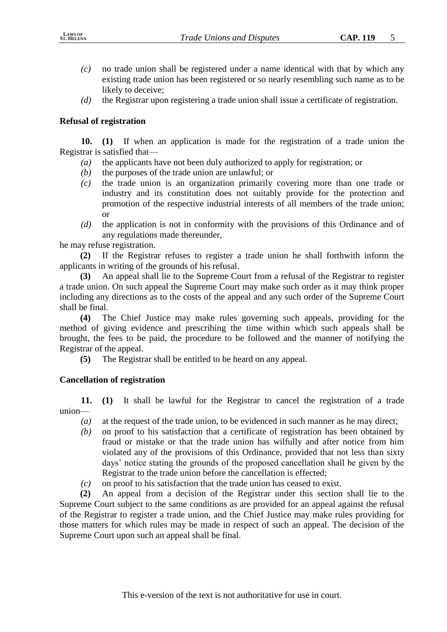- *(c)* no trade union shall be registered under a name identical with that by which any existing trade union has been registered or so nearly resembling such name as to be likely to deceive;
- *(d)* the Registrar upon registering a trade union shall issue a certificate of registration.

# **Refusal of registration**

**10. (1)** If when an application is made for the registration of a trade union the Registrar is satisfied that—

- *(a)* the applicants have not been duly authorized to apply for registration; or
- *(b)* the purposes of the trade union are unlawful; or
- *(c)* the trade union is an organization primarily covering more than one trade or industry and its constitution does not suitably provide for the protection and promotion of the respective industrial interests of all members of the trade union; or
- *(d)* the application is not in conformity with the provisions of this Ordinance and of any regulations made thereunder,

he may refuse registration.

**(2)** If the Registrar refuses to register a trade union he shall forthwith inform the applicants in writing of the grounds of his refusal.

**(3)** An appeal shall lie to the Supreme Court from a refusal of the Registrar to register a trade union. On such appeal the Supreme Court may make such order as it may think proper including any directions as to the costs of the appeal and any such order of the Supreme Court shall be final.

**(4)** The Chief Justice may make rules governing such appeals, providing for the method of giving evidence and prescribing the time within which such appeals shall be brought, the fees to be paid, the procedure to be followed and the manner of notifying the Registrar of the appeal.

**(5)** The Registrar shall be entitled to be heard on any appeal.

# **Cancellation of registration**

**11. (1)** It shall be lawful for the Registrar to cancel the registration of a trade union—

- *(a)* at the request of the trade union, to be evidenced in such manner as he may direct;
- *(b)* on proof to his satisfaction that a certificate of registration has been obtained by fraud or mistake or that the trade union has wilfully and after notice from him violated any of the provisions of this Ordinance, provided that not less than sixty days' notice stating the grounds of the proposed cancellation shall be given by the Registrar to the trade union before the cancellation is effected;
- *(c)* on proof to his satisfaction that the trade union has ceased to exist.

**(2)** An appeal from a decision of the Registrar under this section shall lie to the Supreme Court subject to the same conditions as are provided for an appeal against the refusal of the Registrar to register a trade union, and the Chief Justice may make rules providing for those matters for which rules may be made in respect of such an appeal. The decision of the Supreme Court upon such an appeal shall be final.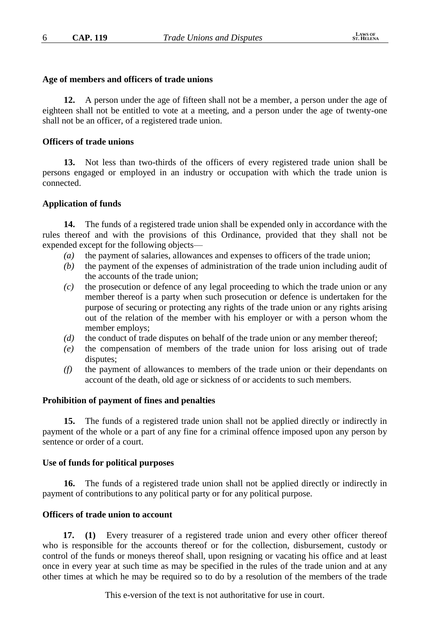#### **Age of members and officers of trade unions**

**12.** A person under the age of fifteen shall not be a member, a person under the age of eighteen shall not be entitled to vote at a meeting, and a person under the age of twenty-one shall not be an officer, of a registered trade union.

## **Officers of trade unions**

**13.** Not less than two-thirds of the officers of every registered trade union shall be persons engaged or employed in an industry or occupation with which the trade union is connected.

## **Application of funds**

**14.** The funds of a registered trade union shall be expended only in accordance with the rules thereof and with the provisions of this Ordinance, provided that they shall not be expended except for the following objects—

- *(a)* the payment of salaries, allowances and expenses to officers of the trade union;
- *(b)* the payment of the expenses of administration of the trade union including audit of the accounts of the trade union;
- *(c)* the prosecution or defence of any legal proceeding to which the trade union or any member thereof is a party when such prosecution or defence is undertaken for the purpose of securing or protecting any rights of the trade union or any rights arising out of the relation of the member with his employer or with a person whom the member employs;
- *(d)* the conduct of trade disputes on behalf of the trade union or any member thereof;
- *(e)* the compensation of members of the trade union for loss arising out of trade disputes;
- *(f)* the payment of allowances to members of the trade union or their dependants on account of the death, old age or sickness of or accidents to such members.

#### **Prohibition of payment of fines and penalties**

**15.** The funds of a registered trade union shall not be applied directly or indirectly in payment of the whole or a part of any fine for a criminal offence imposed upon any person by sentence or order of a court.

#### **Use of funds for political purposes**

**16.** The funds of a registered trade union shall not be applied directly or indirectly in payment of contributions to any political party or for any political purpose.

## **Officers of trade union to account**

**17. (1)** Every treasurer of a registered trade union and every other officer thereof who is responsible for the accounts thereof or for the collection, disbursement, custody or control of the funds or moneys thereof shall, upon resigning or vacating his office and at least once in every year at such time as may be specified in the rules of the trade union and at any other times at which he may be required so to do by a resolution of the members of the trade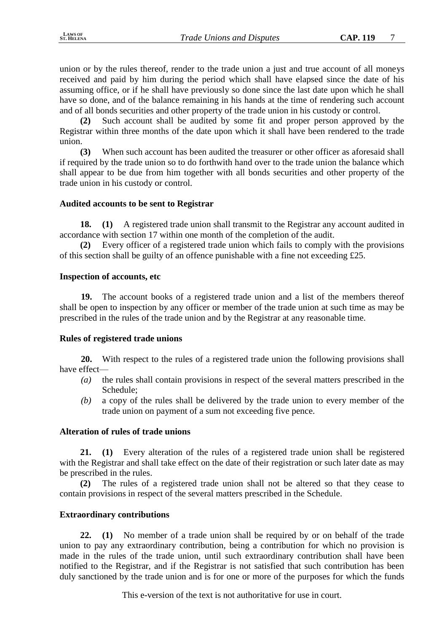union or by the rules thereof, render to the trade union a just and true account of all moneys received and paid by him during the period which shall have elapsed since the date of his assuming office, or if he shall have previously so done since the last date upon which he shall have so done, and of the balance remaining in his hands at the time of rendering such account and of all bonds securities and other property of the trade union in his custody or control.

**(2)** Such account shall be audited by some fit and proper person approved by the Registrar within three months of the date upon which it shall have been rendered to the trade union.

**(3)** When such account has been audited the treasurer or other officer as aforesaid shall if required by the trade union so to do forthwith hand over to the trade union the balance which shall appear to be due from him together with all bonds securities and other property of the trade union in his custody or control.

## **Audited accounts to be sent to Registrar**

**18. (1)** A registered trade union shall transmit to the Registrar any account audited in accordance with section 17 within one month of the completion of the audit.

**(2)** Every officer of a registered trade union which fails to comply with the provisions of this section shall be guilty of an offence punishable with a fine not exceeding £25.

## **Inspection of accounts, etc**

**19.** The account books of a registered trade union and a list of the members thereof shall be open to inspection by any officer or member of the trade union at such time as may be prescribed in the rules of the trade union and by the Registrar at any reasonable time.

## **Rules of registered trade unions**

**20.** With respect to the rules of a registered trade union the following provisions shall have effect—

- *(a)* the rules shall contain provisions in respect of the several matters prescribed in the Schedule;
- *(b)* a copy of the rules shall be delivered by the trade union to every member of the trade union on payment of a sum not exceeding five pence.

## **Alteration of rules of trade unions**

**21. (1)** Every alteration of the rules of a registered trade union shall be registered with the Registrar and shall take effect on the date of their registration or such later date as may be prescribed in the rules.

**(2)** The rules of a registered trade union shall not be altered so that they cease to contain provisions in respect of the several matters prescribed in the Schedule.

# **Extraordinary contributions**

**22. (1)** No member of a trade union shall be required by or on behalf of the trade union to pay any extraordinary contribution, being a contribution for which no provision is made in the rules of the trade union, until such extraordinary contribution shall have been notified to the Registrar, and if the Registrar is not satisfied that such contribution has been duly sanctioned by the trade union and is for one or more of the purposes for which the funds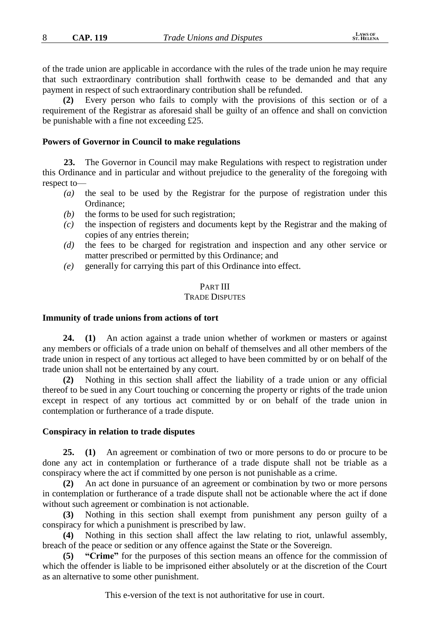of the trade union are applicable in accordance with the rules of the trade union he may require that such extraordinary contribution shall forthwith cease to be demanded and that any payment in respect of such extraordinary contribution shall be refunded.

**(2)** Every person who fails to comply with the provisions of this section or of a requirement of the Registrar as aforesaid shall be guilty of an offence and shall on conviction be punishable with a fine not exceeding £25.

#### **Powers of Governor in Council to make regulations**

**23.** The Governor in Council may make Regulations with respect to registration under this Ordinance and in particular and without prejudice to the generality of the foregoing with respect to—

- *(a)* the seal to be used by the Registrar for the purpose of registration under this Ordinance;
- *(b)* the forms to be used for such registration;
- *(c)* the inspection of registers and documents kept by the Registrar and the making of copies of any entries therein;
- *(d)* the fees to be charged for registration and inspection and any other service or matter prescribed or permitted by this Ordinance; and
- *(e)* generally for carrying this part of this Ordinance into effect.

## PART III

#### TRADE DISPUTES

#### **Immunity of trade unions from actions of tort**

**24. (1)** An action against a trade union whether of workmen or masters or against any members or officials of a trade union on behalf of themselves and all other members of the trade union in respect of any tortious act alleged to have been committed by or on behalf of the trade union shall not be entertained by any court.

**(2)** Nothing in this section shall affect the liability of a trade union or any official thereof to be sued in any Court touching or concerning the property or rights of the trade union except in respect of any tortious act committed by or on behalf of the trade union in contemplation or furtherance of a trade dispute.

#### **Conspiracy in relation to trade disputes**

**25. (1)** An agreement or combination of two or more persons to do or procure to be done any act in contemplation or furtherance of a trade dispute shall not be triable as a conspiracy where the act if committed by one person is not punishable as a crime.

**(2)** An act done in pursuance of an agreement or combination by two or more persons in contemplation or furtherance of a trade dispute shall not be actionable where the act if done without such agreement or combination is not actionable.

**(3)** Nothing in this section shall exempt from punishment any person guilty of a conspiracy for which a punishment is prescribed by law.

**(4)** Nothing in this section shall affect the law relating to riot, unlawful assembly, breach of the peace or sedition or any offence against the State or the Sovereign.

**(5) "Crime"** for the purposes of this section means an offence for the commission of which the offender is liable to be imprisoned either absolutely or at the discretion of the Court as an alternative to some other punishment.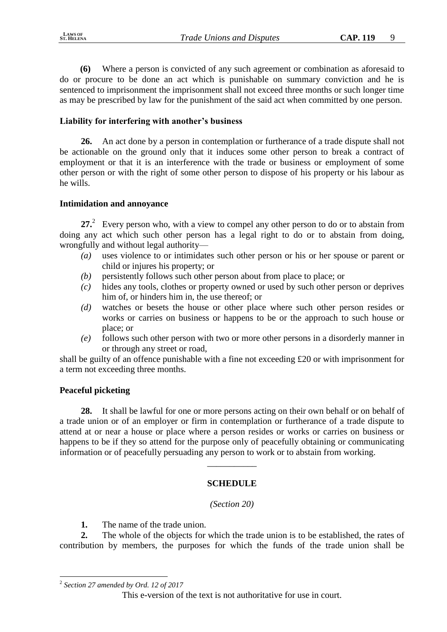**(6)** Where a person is convicted of any such agreement or combination as aforesaid to do or procure to be done an act which is punishable on summary conviction and he is sentenced to imprisonment the imprisonment shall not exceed three months or such longer time as may be prescribed by law for the punishment of the said act when committed by one person.

## **Liability for interfering with another's business**

**26.** An act done by a person in contemplation or furtherance of a trade dispute shall not be actionable on the ground only that it induces some other person to break a contract of employment or that it is an interference with the trade or business or employment of some other person or with the right of some other person to dispose of his property or his labour as he wills.

## **Intimidation and annoyance**

27<sup>2</sup> Every person who, with a view to compel any other person to do or to abstain from doing any act which such other person has a legal right to do or to abstain from doing, wrongfully and without legal authority—

- *(a)* uses violence to or intimidates such other person or his or her spouse or parent or child or injures his property; or
- *(b)* persistently follows such other person about from place to place; or
- *(c)* hides any tools, clothes or property owned or used by such other person or deprives him of, or hinders him in, the use thereof; or
- *(d)* watches or besets the house or other place where such other person resides or works or carries on business or happens to be or the approach to such house or place; or
- *(e)* follows such other person with two or more other persons in a disorderly manner in or through any street or road,

shall be guilty of an offence punishable with a fine not exceeding £20 or with imprisonment for a term not exceeding three months.

## **Peaceful picketing**

**28.** It shall be lawful for one or more persons acting on their own behalf or on behalf of a trade union or of an employer or firm in contemplation or furtherance of a trade dispute to attend at or near a house or place where a person resides or works or carries on business or happens to be if they so attend for the purpose only of peacefully obtaining or communicating information or of peacefully persuading any person to work or to abstain from working.

# **SCHEDULE**

 $\overline{\phantom{a}}$ 

*(Section 20)*

**1.** The name of the trade union.

**2.** The whole of the objects for which the trade union is to be established, the rates of contribution by members, the purposes for which the funds of the trade union shall be

1

<sup>2</sup> *Section 27 amended by Ord. 12 of 2017*

This e-version of the text is not authoritative for use in court.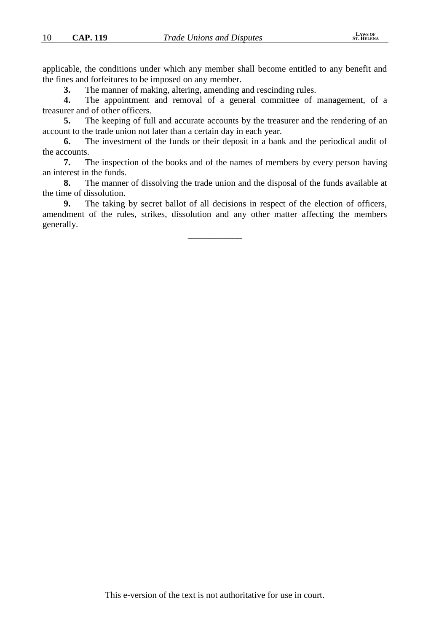applicable, the conditions under which any member shall become entitled to any benefit and the fines and forfeitures to be imposed on any member.

**3.** The manner of making, altering, amending and rescinding rules.

**4.** The appointment and removal of a general committee of management, of a treasurer and of other officers.

**5.** The keeping of full and accurate accounts by the treasurer and the rendering of an account to the trade union not later than a certain day in each year.

**6.** The investment of the funds or their deposit in a bank and the periodical audit of the accounts.

**7.** The inspection of the books and of the names of members by every person having an interest in the funds.

**8.** The manner of dissolving the trade union and the disposal of the funds available at the time of dissolution.

**9.** The taking by secret ballot of all decisions in respect of the election of officers, amendment of the rules, strikes, dissolution and any other matter affecting the members generally.

\_\_\_\_\_\_\_\_\_\_\_\_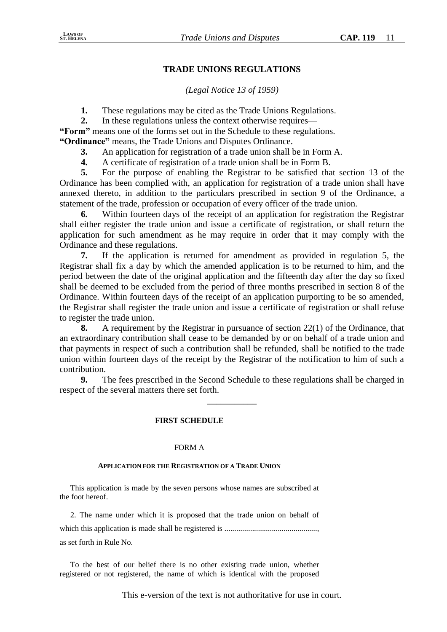## **TRADE UNIONS REGULATIONS**

## *(Legal Notice 13 of 1959)*

**1.** These regulations may be cited as the Trade Unions Regulations.

**2.** In these regulations unless the context otherwise requires—

**"Form"** means one of the forms set out in the Schedule to these regulations.

**"Ordinance"** means, the Trade Unions and Disputes Ordinance.

**3.** An application for registration of a trade union shall be in Form A.

**4.** A certificate of registration of a trade union shall be in Form B.

**5.** For the purpose of enabling the Registrar to be satisfied that section 13 of the Ordinance has been complied with, an application for registration of a trade union shall have annexed thereto, in addition to the particulars prescribed in section 9 of the Ordinance, a statement of the trade, profession or occupation of every officer of the trade union.

**6.** Within fourteen days of the receipt of an application for registration the Registrar shall either register the trade union and issue a certificate of registration, or shall return the application for such amendment as he may require in order that it may comply with the Ordinance and these regulations.

**7.** If the application is returned for amendment as provided in regulation 5, the Registrar shall fix a day by which the amended application is to be returned to him, and the period between the date of the original application and the fifteenth day after the day so fixed shall be deemed to be excluded from the period of three months prescribed in section 8 of the Ordinance. Within fourteen days of the receipt of an application purporting to be so amended, the Registrar shall register the trade union and issue a certificate of registration or shall refuse to register the trade union.

**8.** A requirement by the Registrar in pursuance of section 22(1) of the Ordinance, that an extraordinary contribution shall cease to be demanded by or on behalf of a trade union and that payments in respect of such a contribution shall be refunded, shall be notified to the trade union within fourteen days of the receipt by the Registrar of the notification to him of such a contribution.

**9.** The fees prescribed in the Second Schedule to these regulations shall be charged in respect of the several matters there set forth.

\_\_\_\_\_\_\_\_\_\_\_

#### **FIRST SCHEDULE**

#### FORM A

#### **APPLICATION FOR THE REGISTRATION OF A TRADE UNION**

This application is made by the seven persons whose names are subscribed at the foot hereof.

2. The name under which it is proposed that the trade union on behalf of which this application is made shall be registered is ..............................................., as set forth in Rule No.

To the best of our belief there is no other existing trade union, whether registered or not registered, the name of which is identical with the proposed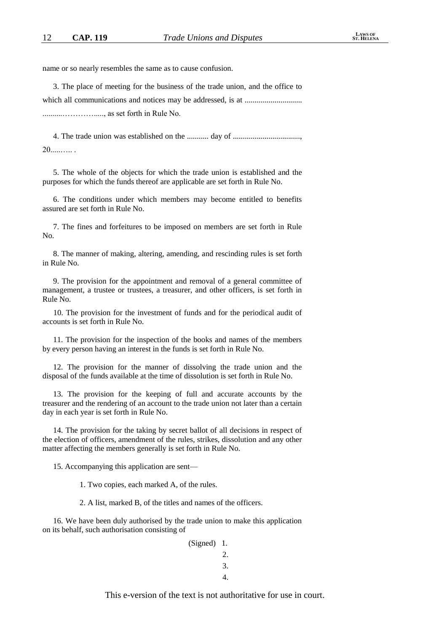name or so nearly resembles the same as to cause confusion.

3. The place of meeting for the business of the trade union, and the office to which all communications and notices may be addressed, is at ............................. ..........…………....., as set forth in Rule No.

4. The trade union was established on the ........... day of .................................., 20.....….. .

5. The whole of the objects for which the trade union is established and the purposes for which the funds thereof are applicable are set forth in Rule No.

6. The conditions under which members may become entitled to benefits assured are set forth in Rule No.

7. The fines and forfeitures to be imposed on members are set forth in Rule No.

8. The manner of making, altering, amending, and rescinding rules is set forth in Rule No.

9. The provision for the appointment and removal of a general committee of management, a trustee or trustees, a treasurer, and other officers, is set forth in Rule No.

10. The provision for the investment of funds and for the periodical audit of accounts is set forth in Rule No.

11. The provision for the inspection of the books and names of the members by every person having an interest in the funds is set forth in Rule No.

12. The provision for the manner of dissolving the trade union and the disposal of the funds available at the time of dissolution is set forth in Rule No.

13. The provision for the keeping of full and accurate accounts by the treasurer and the rendering of an account to the trade union not later than a certain day in each year is set forth in Rule No.

14. The provision for the taking by secret ballot of all decisions in respect of the election of officers, amendment of the rules, strikes, dissolution and any other matter affecting the members generally is set forth in Rule No.

15. Accompanying this application are sent—

1. Two copies, each marked A, of the rules.

2. A list, marked B, of the titles and names of the officers.

16. We have been duly authorised by the trade union to make this application on its behalf, such authorisation consisting of

| (Signed) 1. |    |
|-------------|----|
|             | 2. |
|             | 3. |
|             | 4. |